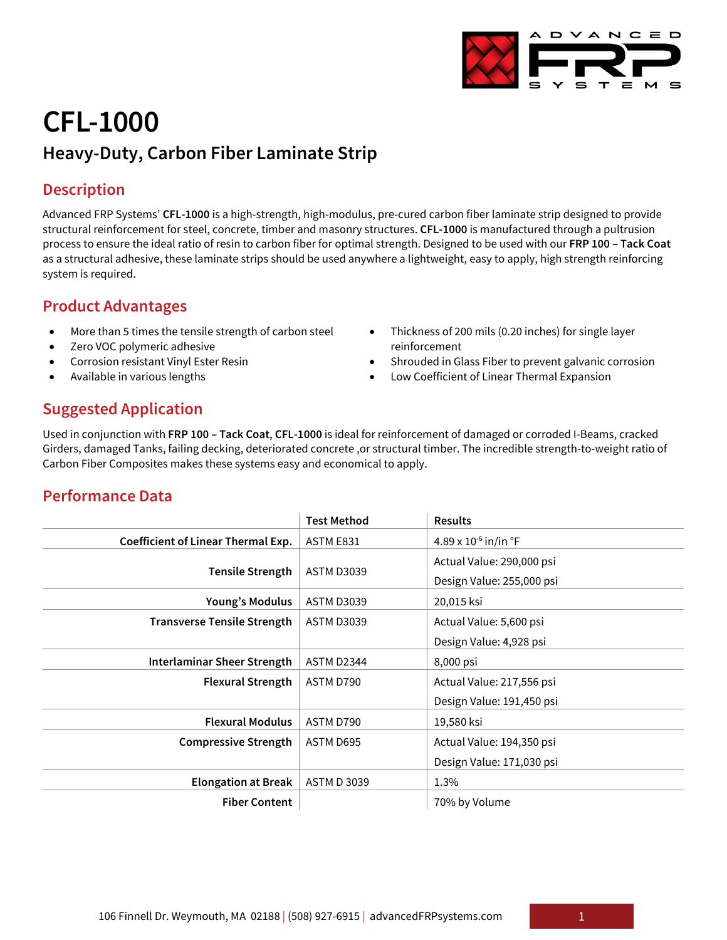# **CFL-1000 Heavy-Duty, Carbon Fiber Laminate Strip**

## **Description**

Advanced FRP Systems' **CFL-1000** is a high-strength, high-modulus, pre-cured carbon fiber laminate strip designed to provide structural reinforcement for steel, concrete, timber and masonry structures. **CFL-1000** is manufactured through a pultrusion process to ensure the ideal ratio of resin to carbon fiber for optimal strength. Designed to be used with our **FRP 100 – Tack Coat** as a structural adhesive, these laminate strips should be used anywhere a lightweight, easy to apply, high strength reinforcing system is required.

#### **Product Advantages**

- More than 5 times the tensile strength of carbon steel
- Zero VOC polymeric adhesive
- Corrosion resistant Vinyl Ester Resin
- Available in various lengths
- Thickness of 200 mils (0.20 inches) for single layer reinforcement
- Shrouded in Glass Fiber to prevent galvanic corrosion
- Low Coefficient of Linear Thermal Expansion

## **Suggested Application**

Used in conjunction with **FRP 100 – Tack Coat**, **CFL-1000** is ideal for reinforcement of damaged or corroded I-Beams, cracked Girders, damaged Tanks, failing decking, deteriorated concrete ,or structural timber. The incredible strength-to-weight ratio of Carbon Fiber Composites makes these systems easy and economical to apply.

#### **Performance Data**

|                                           | <b>Test Method</b> | <b>Results</b>                     |
|-------------------------------------------|--------------------|------------------------------------|
| <b>Coefficient of Linear Thermal Exp.</b> | ASTM E831          | 4.89 x $10^{-6}$ in/in $\degree$ F |
| <b>Tensile Strength</b>                   | <b>ASTM D3039</b>  | Actual Value: 290,000 psi          |
|                                           |                    | Design Value: 255,000 psi          |
| Young's Modulus                           | <b>ASTM D3039</b>  | 20,015 ksi                         |
| <b>Transverse Tensile Strength</b>        | <b>ASTM D3039</b>  | Actual Value: 5,600 psi            |
|                                           |                    | Design Value: 4,928 psi            |
| <b>Interlaminar Sheer Strength</b>        | ASTM D2344         | 8,000 psi                          |
| <b>Flexural Strength</b>                  | ASTM D790          | Actual Value: 217,556 psi          |
|                                           |                    | Design Value: 191,450 psi          |
| <b>Flexural Modulus</b>                   | ASTM D790          | 19,580 ksi                         |
| <b>Compressive Strength</b>               | ASTM D695          | Actual Value: 194,350 psi          |
|                                           |                    | Design Value: 171,030 psi          |
| <b>Elongation at Break</b>                | <b>ASTM D 3039</b> | 1.3%                               |
| <b>Fiber Content</b>                      |                    | 70% by Volume                      |